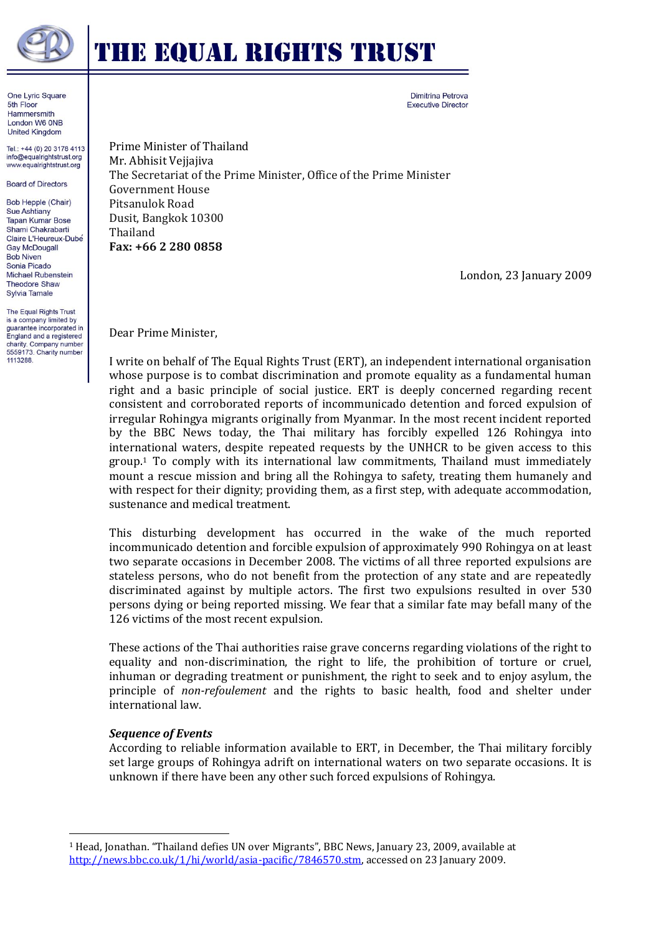

# **THE EQUAL RIGHTS TRUST**

Dimitrina Petrova **Executive Director** 

One Lyric Square 5th Floor Hammersmith London W6 ONB **United Kingdom** 

Tel.: +44 (0) 20 3178 4113 info@equalrightstrust.org www.equalrightstrust.org

**Board of Directors** 

**Bob Hepple (Chair)** Sue Ashtiany **Tapan Kumar Bose** Shami Chakrabarti Claire L'Heureux-Dubé **Gay McDougall Bob Niven** Sonia Picado Michael Rubenstein **Theodore Shaw** Sylvia Tamale

The Equal Rights Trust is a company limited by<br>guarantee incorporated in England and a registered charity. Company number 5559173. Charity number 1113288.

Prime Minister of Thailand Mr. Abhisit Vejjajiva The Secretariat of the Prime Minister, Office of the Prime Minister Government House Pitsanulok Road Dusit, Bangkok 10300 Thailand **Fax: +66 2 280 0858**

London, 23 January 2009

Dear Prime Minister,

I write on behalf of The Equal Rights Trust (ERT), an independent international organisation whose purpose is to combat discrimination and promote equality as a fundamental human right and a basic principle of social justice. ERT is deeply concerned regarding recent consistent and corroborated reports of incommunicado detention and forced expulsion of irregular Rohingya migrants originally from Myanmar. In the most recent incident reported by the BBC News today, the Thai military has forcibly expelled 126 Rohingya into international waters, despite repeated requests by the UNHCR to be given access to this group.<sup>1</sup> To comply with its international law commitments, Thailand must immediately mount a rescue mission and bring all the Rohingya to safety, treating them humanely and with respect for their dignity; providing them, as a first step, with adequate accommodation, sustenance and medical treatment.

This disturbing development has occurred in the wake of the much reported incommunicado detention and forcible expulsion of approximately 990 Rohingya on at least two separate occasions in December 2008. The victims of all three reported expulsions are stateless persons, who do not benefit from the protection of any state and are repeatedly discriminated against by multiple actors. The first two expulsions resulted in over 530 persons dying or being reported missing. We fear that a similar fate may befall many of the 126 victims of the most recent expulsion.

These actions of the Thai authorities raise grave concerns regarding violations of the right to equality and non-discrimination, the right to life, the prohibition of torture or cruel, inhuman or degrading treatment or punishment, the right to seek and to enjoy asylum, the principle of *non-refoulement* and the rights to basic health, food and shelter under international law.

# *Sequence of Events*

 $\overline{\phantom{a}}$ 

According to reliable information available to ERT, in December, the Thai military forcibly set large groups of Rohingya adrift on international waters on two separate occasions. It is unknown if there have been any other such forced expulsions of Rohingya.

<sup>1</sup> Head, Jonathan. "Thailand defies UN over Migrants", BBC News, January 23, 2009, available at [http://news.bbc.co.uk/1/hi/world/asia-pacific/7846570.stm,](http://news.bbc.co.uk/1/hi/world/asia-pacific/7846570.stm) accessed on 23 January 2009.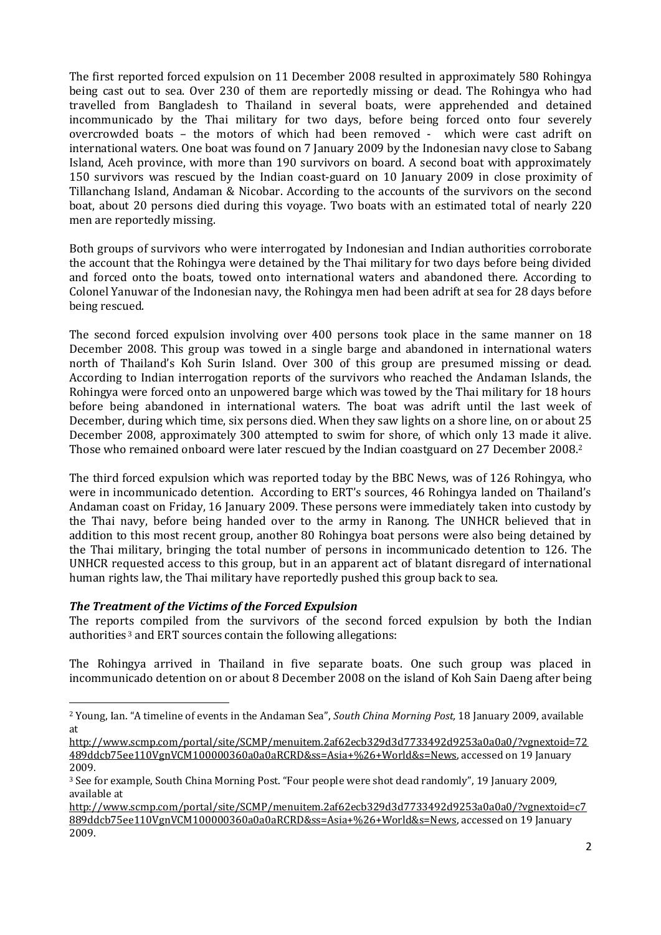The first reported forced expulsion on 11 December 2008 resulted in approximately 580 Rohingya being cast out to sea. Over 230 of them are reportedly missing or dead. The Rohingya who had travelled from Bangladesh to Thailand in several boats, were apprehended and detained incommunicado by the Thai military for two days, before being forced onto four severely overcrowded boats – the motors of which had been removed - which were cast adrift on international waters. One boat was found on 7 January 2009 by the Indonesian navy close to Sabang Island, Aceh province, with more than 190 survivors on board. A second boat with approximately 150 survivors was rescued by the Indian coast-guard on 10 January 2009 in close proximity of Tillanchang Island, Andaman & Nicobar. According to the accounts of the survivors on the second boat, about 20 persons died during this voyage. Two boats with an estimated total of nearly 220 men are reportedly missing.

Both groups of survivors who were interrogated by Indonesian and Indian authorities corroborate the account that the Rohingya were detained by the Thai military for two days before being divided and forced onto the boats, towed onto international waters and abandoned there. According to Colonel Yanuwar of the Indonesian navy, the Rohingya men had been adrift at sea for 28 days before being rescued.

The second forced expulsion involving over 400 persons took place in the same manner on 18 December 2008. This group was towed in a single barge and abandoned in international waters north of Thailand's Koh Surin Island. Over 300 of this group are presumed missing or dead. According to Indian interrogation reports of the survivors who reached the Andaman Islands, the Rohingya were forced onto an unpowered barge which was towed by the Thai military for 18 hours before being abandoned in international waters. The boat was adrift until the last week of December, during which time, six persons died. When they saw lights on a shore line, on or about 25 December 2008, approximately 300 attempted to swim for shore, of which only 13 made it alive. Those who remained onboard were later rescued by the Indian coastguard on 27 December 2008.<sup>2</sup>

The third forced expulsion which was reported today by the BBC News, was of 126 Rohingya, who were in incommunicado detention. According to ERT's sources, 46 Rohingya landed on Thailand's Andaman coast on Friday, 16 January 2009. These persons were immediately taken into custody by the Thai navy, before being handed over to the army in Ranong. The UNHCR believed that in addition to this most recent group, another 80 Rohingya boat persons were also being detained by the Thai military, bringing the total number of persons in incommunicado detention to 126. The UNHCR requested access to this group, but in an apparent act of blatant disregard of international human rights law, the Thai military have reportedly pushed this group back to sea.

# *The Treatment of the Victims of the Forced Expulsion*

l

The reports compiled from the survivors of the second forced expulsion by both the Indian authorities <sup>3</sup> and ERT sources contain the following allegations:

The Rohingya arrived in Thailand in five separate boats. One such group was placed in incommunicado detention on or about 8 December 2008 on the island of Koh Sain Daeng after being

<sup>2</sup> Young, Ian. "A timeline of events in the Andaman Sea", *South China Morning Post,* 18 January 2009, available at

[http://www.scmp.com/portal/site/SCMP/menuitem.2af62ecb329d3d7733492d9253a0a0a0/?vgnextoid=72](http://www.scmp.com/portal/site/SCMP/menuitem.2af62ecb329d3d7733492d9253a0a0a0/?vgnextoid=72489ddcb75ee110VgnVCM100000360a0a0aRCRD&ss=Asia+%26+World&s=News) [489ddcb75ee110VgnVCM100000360a0a0aRCRD&ss=Asia+%26+World&s=News,](http://www.scmp.com/portal/site/SCMP/menuitem.2af62ecb329d3d7733492d9253a0a0a0/?vgnextoid=72489ddcb75ee110VgnVCM100000360a0a0aRCRD&ss=Asia+%26+World&s=News) accessed on 19 January 2009.

<sup>3</sup> See for example, South China Morning Post. "Four people were shot dead randomly", 19 January 2009, available at

[http://www.scmp.com/portal/site/SCMP/menuitem.2af62ecb329d3d7733492d9253a0a0a0/?vgnextoid=c7](http://www.scmp.com/portal/site/SCMP/menuitem.2af62ecb329d3d7733492d9253a0a0a0/?vgnextoid=c7889ddcb75ee110VgnVCM100000360a0a0aRCRD&ss=Asia+%26+World&s=News) [889ddcb75ee110VgnVCM100000360a0a0aRCRD&ss=Asia+%26+World&s=News,](http://www.scmp.com/portal/site/SCMP/menuitem.2af62ecb329d3d7733492d9253a0a0a0/?vgnextoid=c7889ddcb75ee110VgnVCM100000360a0a0aRCRD&ss=Asia+%26+World&s=News) accessed on 19 January 2009.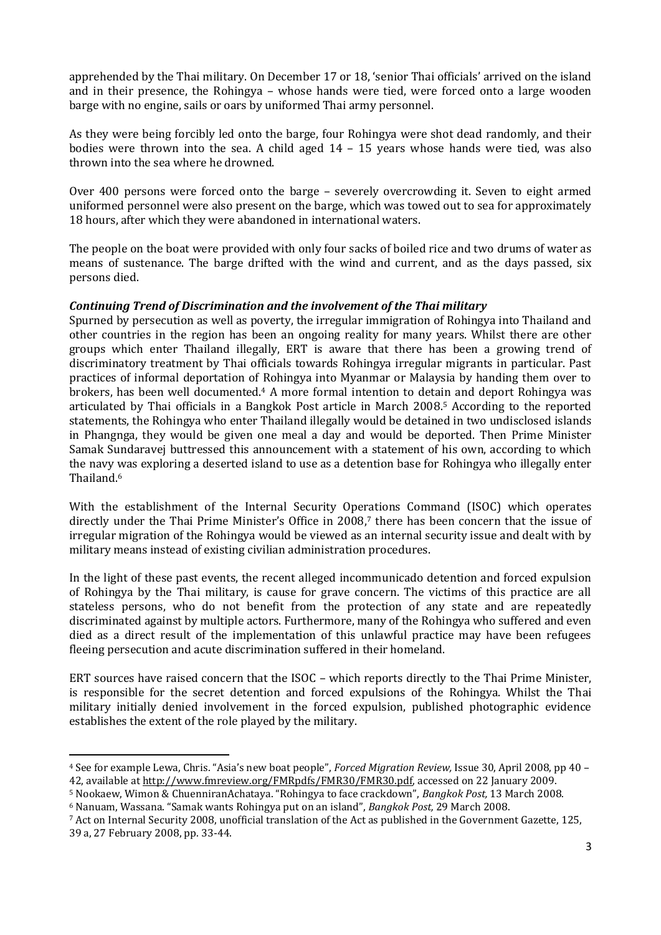apprehended by the Thai military. On December 17 or 18, 'senior Thai officials' arrived on the island and in their presence, the Rohingya – whose hands were tied, were forced onto a large wooden barge with no engine, sails or oars by uniformed Thai army personnel.

As they were being forcibly led onto the barge, four Rohingya were shot dead randomly, and their bodies were thrown into the sea. A child aged 14 – 15 years whose hands were tied, was also thrown into the sea where he drowned.

Over 400 persons were forced onto the barge – severely overcrowding it. Seven to eight armed uniformed personnel were also present on the barge, which was towed out to sea for approximately 18 hours, after which they were abandoned in international waters.

The people on the boat were provided with only four sacks of boiled rice and two drums of water as means of sustenance. The barge drifted with the wind and current, and as the days passed, six persons died.

### *Continuing Trend of Discrimination and the involvement of the Thai military*

Spurned by persecution as well as poverty, the irregular immigration of Rohingya into Thailand and other countries in the region has been an ongoing reality for many years. Whilst there are other groups which enter Thailand illegally, ERT is aware that there has been a growing trend of discriminatory treatment by Thai officials towards Rohingya irregular migrants in particular. Past practices of informal deportation of Rohingya into Myanmar or Malaysia by handing them over to brokers, has been well documented.<sup>4</sup> A more formal intention to detain and deport Rohingya was articulated by Thai officials in a Bangkok Post article in March 2008.<sup>5</sup> According to the reported statements, the Rohingya who enter Thailand illegally would be detained in two undisclosed islands in Phangnga, they would be given one meal a day and would be deported. Then Prime Minister Samak Sundaravej buttressed this announcement with a statement of his own, according to which the navy was exploring a deserted island to use as a detention base for Rohingya who illegally enter Thailand.<sup>6</sup>

With the establishment of the Internal Security Operations Command (ISOC) which operates directly under the Thai Prime Minister's Office in 2008, <sup>7</sup> there has been concern that the issue of irregular migration of the Rohingya would be viewed as an internal security issue and dealt with by military means instead of existing civilian administration procedures.

In the light of these past events, the recent alleged incommunicado detention and forced expulsion of Rohingya by the Thai military, is cause for grave concern. The victims of this practice are all stateless persons, who do not benefit from the protection of any state and are repeatedly discriminated against by multiple actors. Furthermore, many of the Rohingya who suffered and even died as a direct result of the implementation of this unlawful practice may have been refugees fleeing persecution and acute discrimination suffered in their homeland.

ERT sources have raised concern that the ISOC – which reports directly to the Thai Prime Minister, is responsible for the secret detention and forced expulsions of the Rohingya. Whilst the Thai military initially denied involvement in the forced expulsion, published photographic evidence establishes the extent of the role played by the military.

 $\overline{a}$ 

<sup>4</sup> See for example Lewa, Chris. "Asia's new boat people", *Forced Migration Review,* Issue 30, April 2008, pp 40 – 42, available at [http://www.fmreview.org/FMRpdfs/FMR30/FMR30.pdf,](http://www.fmreview.org/FMRpdfs/FMR30/FMR30.pdf) accessed on 22 January 2009.

<sup>5</sup> Nookaew, Wimon & ChuenniranAchataya. "Rohingya to face crackdown", *Bangkok Post,* 13 March 2008.

<sup>6</sup> Nanuam, Wassana. "Samak wants Rohingya put on an island", *Bangkok Post,* 29 March 2008.

<sup>7</sup> Act on Internal Security 2008, unofficial translation of the Act as published in the Government Gazette, 125, 39 a, 27 February 2008, pp. 33-44.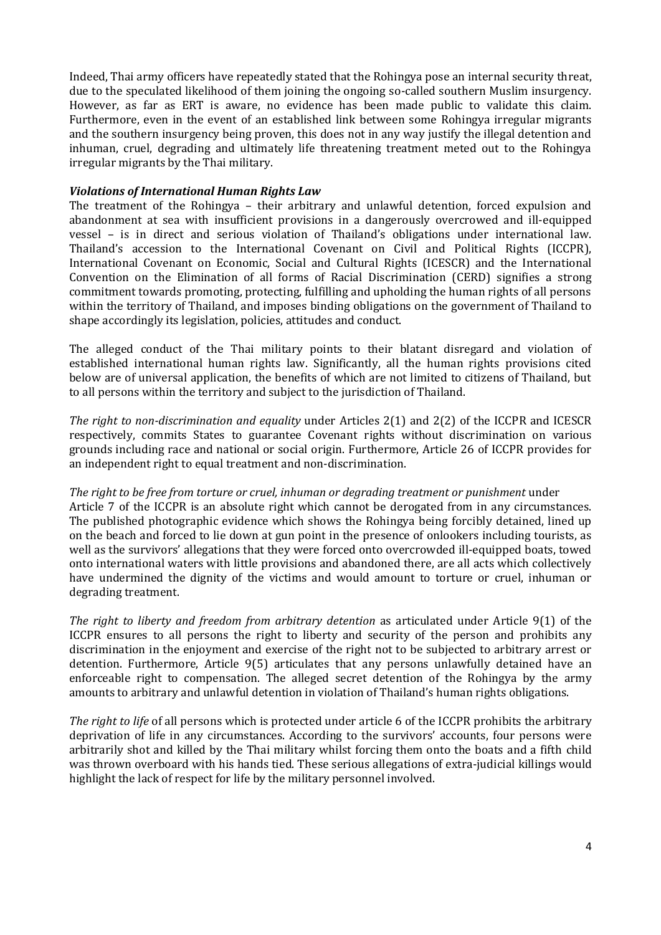Indeed, Thai army officers have repeatedly stated that the Rohingya pose an internal security threat, due to the speculated likelihood of them joining the ongoing so-called southern Muslim insurgency. However, as far as ERT is aware, no evidence has been made public to validate this claim. Furthermore, even in the event of an established link between some Rohingya irregular migrants and the southern insurgency being proven, this does not in any way justify the illegal detention and inhuman, cruel, degrading and ultimately life threatening treatment meted out to the Rohingya irregular migrants by the Thai military.

### *Violations of International Human Rights Law*

The treatment of the Rohingya – their arbitrary and unlawful detention, forced expulsion and abandonment at sea with insufficient provisions in a dangerously overcrowed and ill-equipped vessel – is in direct and serious violation of Thailand's obligations under international law. Thailand's accession to the International Covenant on Civil and Political Rights (ICCPR), International Covenant on Economic, Social and Cultural Rights (ICESCR) and the International Convention on the Elimination of all forms of Racial Discrimination (CERD) signifies a strong commitment towards promoting, protecting, fulfilling and upholding the human rights of all persons within the territory of Thailand, and imposes binding obligations on the government of Thailand to shape accordingly its legislation, policies, attitudes and conduct.

The alleged conduct of the Thai military points to their blatant disregard and violation of established international human rights law. Significantly, all the human rights provisions cited below are of universal application, the benefits of which are not limited to citizens of Thailand, but to all persons within the territory and subject to the jurisdiction of Thailand.

*The right to non-discrimination and equality* under Articles 2(1) and 2(2) of the ICCPR and ICESCR respectively, commits States to guarantee Covenant rights without discrimination on various grounds including race and national or social origin. Furthermore, Article 26 of ICCPR provides for an independent right to equal treatment and non-discrimination.

# *The right to be free from torture or cruel, inhuman or degrading treatment or punishment* under

Article 7 of the ICCPR is an absolute right which cannot be derogated from in any circumstances. The published photographic evidence which shows the Rohingya being forcibly detained, lined up on the beach and forced to lie down at gun point in the presence of onlookers including tourists, as well as the survivors' allegations that they were forced onto overcrowded ill-equipped boats, towed onto international waters with little provisions and abandoned there, are all acts which collectively have undermined the dignity of the victims and would amount to torture or cruel, inhuman or degrading treatment.

*The right to liberty and freedom from arbitrary detention* as articulated under Article 9(1) of the ICCPR ensures to all persons the right to liberty and security of the person and prohibits any discrimination in the enjoyment and exercise of the right not to be subjected to arbitrary arrest or detention. Furthermore, Article 9(5) articulates that any persons unlawfully detained have an enforceable right to compensation. The alleged secret detention of the Rohingya by the army amounts to arbitrary and unlawful detention in violation of Thailand's human rights obligations.

*The right to life* of all persons which is protected under article 6 of the ICCPR prohibits the arbitrary deprivation of life in any circumstances. According to the survivors' accounts, four persons were arbitrarily shot and killed by the Thai military whilst forcing them onto the boats and a fifth child was thrown overboard with his hands tied. These serious allegations of extra-judicial killings would highlight the lack of respect for life by the military personnel involved.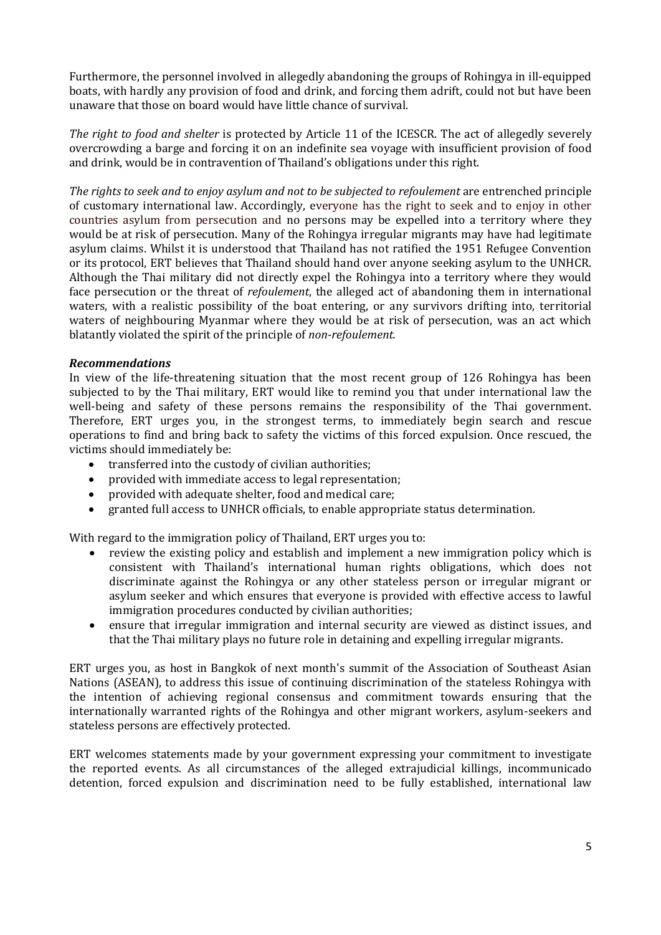Furthermore, the personnel involved in allegedly abandoning the groups of Rohingya in ill-equipped boats, with hardly any provision of food and drink, and forcing them adrift, could not but have been unaware that those on board would have little chance of survival.

*The right to food and shelter* is protected by Article 11 of the ICESCR. The act of allegedly severely overcrowding a barge and forcing it on an indefinite sea voyage with insufficient provision of food and drink, would be in contravention of Thailand's obligations under this right.

*The rights to seek and to enjoy asylum and not to be subjected to refoulement* are entrenched principle of customary international law. Accordingly, everyone has the right to seek and to enjoy in other countries asylum from persecution and no persons may be expelled into a territory where they would be at risk of persecution. Many of the Rohingya irregular migrants may have had legitimate asylum claims. Whilst it is understood that Thailand has not ratified the 1951 Refugee Convention or its protocol, ERT believes that Thailand should hand over anyone seeking asylum to the UNHCR. Although the Thai military did not directly expel the Rohingya into a territory where they would face persecution or the threat of *refoulement*, the alleged act of abandoning them in international waters, with a realistic possibility of the boat entering, or any survivors drifting into, territorial waters of neighbouring Myanmar where they would be at risk of persecution, was an act which blatantly violated the spirit of the principle of *non-refoulement.*

### *Recommendations*

In view of the life-threatening situation that the most recent group of 126 Rohingya has been subjected to by the Thai military, ERT would like to remind you that under international law the well-being and safety of these persons remains the responsibility of the Thai government. Therefore, ERT urges you, in the strongest terms, to immediately begin search and rescue operations to find and bring back to safety the victims of this forced expulsion. Once rescued, the victims should immediately be:

- transferred into the custody of civilian authorities;
- provided with immediate access to legal representation;
- provided with adequate shelter, food and medical care;
- granted full access to UNHCR officials, to enable appropriate status determination.

With regard to the immigration policy of Thailand, ERT urges you to:

- review the existing policy and establish and implement a new immigration policy which is consistent with Thailand's international human rights obligations, which does not discriminate against the Rohingya or any other stateless person or irregular migrant or asylum seeker and which ensures that everyone is provided with effective access to lawful immigration procedures conducted by civilian authorities;
- ensure that irregular immigration and internal security are viewed as distinct issues, and that the Thai military plays no future role in detaining and expelling irregular migrants.

ERT urges you, as host in Bangkok of next month's summit of the Association of Southeast Asian Nations (ASEAN), to address this issue of continuing discrimination of the stateless Rohingya with the intention of achieving regional consensus and commitment towards ensuring that the internationally warranted rights of the Rohingya and other migrant workers, asylum-seekers and stateless persons are effectively protected.

ERT welcomes statements made by your government expressing your commitment to investigate the reported events. As all circumstances of the alleged extrajudicial killings, incommunicado detention, forced expulsion and discrimination need to be fully established, international law